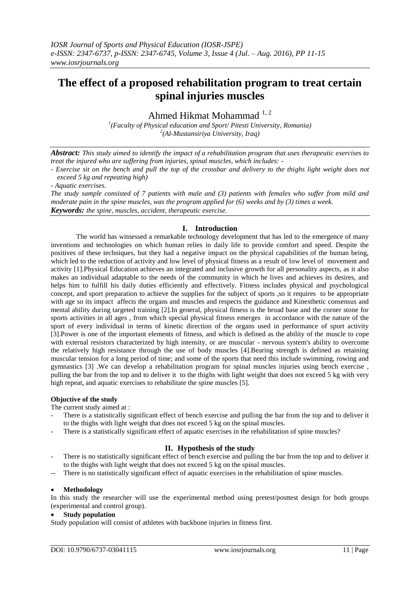# **The effect of a proposed rehabilitation program to treat certain spinal injuries muscles**

Ahmed Hikmat Mohammad<sup>1,2</sup>

*1 (Faculty of Physical education and Sport/ Pitesti University, Romania) 2 (Al-Mustansiriya University, Iraq)* 

*Abstract: This study aimed to identify the impact of a rehabilitation program that uses therapeutic exercises to treat the injured who are suffering from injuries, spinal muscles, which includes: -*

*- Exercise sit on the bench and pull the top of the crossbar and delivery to the thighs light weight does not exceed 5 kg and repeating high)*

*- Aquatic exercises.*

*The study sample consisted of 7 patients with male and (3) patients with females who suffer from mild and moderate pain in the spine muscles, was the program applied for (6) weeks and by (3) times a week. Keywords: the spine, muscles, accident, therapeutic exercise.*

## **I. Introduction**

The world has witnessed a remarkable technology development that has led to the emergence of many inventions and technologies on which human relies in daily life to provide comfort and speed. Despite the positives of these techniques, but they had a negative impact on the physical capabilities of the human being, which led to the reduction of activity and low level of physical fitness as a result of low level of movement and activity [1].Physical Education achieves an integrated and inclusive growth for all personality aspects, as it also makes an individual adaptable to the needs of the community in which he lives and achieves its desires, and helps him to fulfill his daily duties efficiently and effectively. Fitness includes physical and psychological concept, and sport preparation to achieve the supplies for the subject of sports ,so it requires to be appropriate with age so its impact affects the organs and muscles and respects the guidance and Kinesthetic consensus and mental ability during targeted training [2].In general, physical fitness is the broad base and the corner stone for sports activities in all ages , from which special physical fitness emerges in accordance with the nature of the sport of every individual in terms of kinetic direction of the organs used in performance of sport activity [3].Power is one of the important elements of fitness, and which is defined as the ability of the muscle to cope with external resistors characterized by high intensity, or are muscular - nervous system's ability to overcome the relatively high resistance through the use of body muscles [4].Bearing strength is defined as retaining muscular tension for a long period of time; and some of the sports that need this include swimming, rowing and gymnastics [3] .We can develop a rehabilitation program for spinal muscles injuries using bench exercise , pulling the bar from the top and to deliver it to the thighs with light weight that does not exceed 5 kg with very high repeat, and aquatic exercises to rehabilitate the spine muscles [5].

## **Objuctive of the study**

The current study aimed at :

- There is a statistically significant effect of bench exercise and pulling the bar from the top and to deliver it to the thighs with light weight that does not exceed 5 kg on the spinal muscles.
- There is a statistically significant effect of aquatic exercises in the rehabilitation of spine muscles?

## **II. Hypothesis of the study**

- There is no statistically significant effect of bench exercise and pulling the bar from the top and to deliver it to the thighs with light weight that does not exceed 5 kg on the spinal muscles.
- There is no statistically significant effect of aquatic exercises in the rehabilitation of spine muscles.

#### **Methodology**

In this study the researcher will use the experimental method using pretest/posttest design for both groups (experimental and control group).

### **Study population**

Study population will consist of athletes with backbone injuries in fitness first.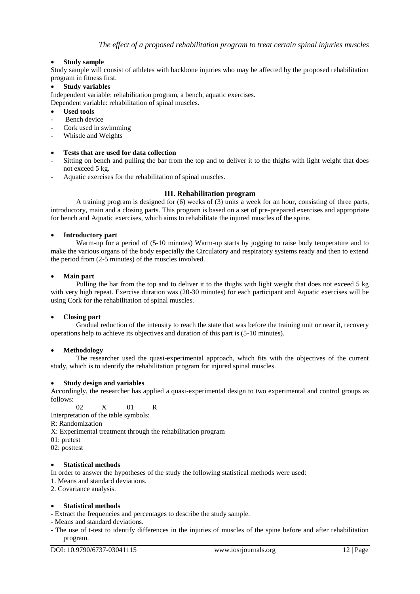## **Study sample**

Study sample will consist of athletes with backbone injuries who may be affected by the proposed rehabilitation program in fitness first.

#### **Study variables**

Independent variable: rehabilitation program, a bench, aquatic exercises.

Dependent variable: rehabilitation of spinal muscles.

- **Used tools**
- Bench device
- Cork used in swimming
- Whistle and Weights

### **Tests that are used for data collection**

- Sitting on bench and pulling the bar from the top and to deliver it to the thighs with light weight that does not exceed 5 kg.
- Aquatic exercises for the rehabilitation of spinal muscles.

### **III. Rehabilitation program**

A training program is designed for (6) weeks of (3) units a week for an hour, consisting of three parts, introductory, main and a closing parts. This program is based on a set of pre-prepared exercises and appropriate for bench and Aquatic exercises, which aims to rehabilitate the injured muscles of the spine.

#### **Introductory part**

Warm-up for a period of (5-10 minutes) Warm-up starts by jogging to raise body temperature and to make the various organs of the body especially the Circulatory and respiratory systems ready and then to extend the period from (2-5 minutes) of the muscles involved.

#### **Main part**

Pulling the bar from the top and to deliver it to the thighs with light weight that does not exceed 5 kg with very high repeat. Exercise duration was (20-30 minutes) for each participant and Aquatic exercises will be using Cork for the rehabilitation of spinal muscles.

#### **Closing part**

Gradual reduction of the intensity to reach the state that was before the training unit or near it, recovery operations help to achieve its objectives and duration of this part is (5-10 minutes).

## **Methodology**

The researcher used the quasi-experimental approach, which fits with the objectives of the current study, which is to identify the rehabilitation program for injured spinal muscles.

#### **Study design and variables**

Accordingly, the researcher has applied a quasi-experimental design to two experimental and control groups as follows:

02 X 01 R

Interpretation of the table symbols:

R: Randomization

X: Experimental treatment through the rehabilitation program

01: pretest

02: posttest

#### **Statistical methods**

In order to answer the hypotheses of the study the following statistical methods were used:

1. Means and standard deviations.

2. Covariance analysis.

#### **Statistical methods**

- Extract the frequencies and percentages to describe the study sample.

- Means and standard deviations.
- The use of t-test to identify differences in the injuries of muscles of the spine before and after rehabilitation program.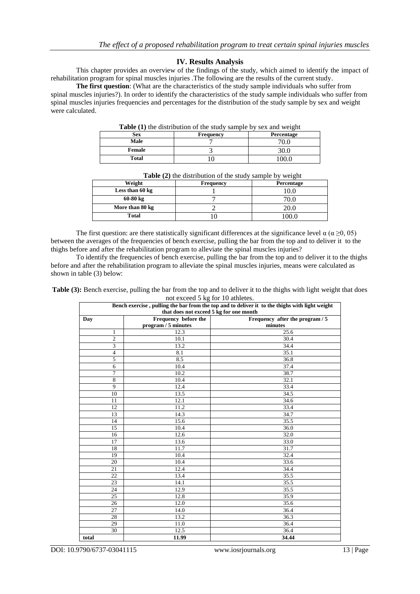## **IV. Results Analysis**

This chapter provides an overview of the findings of the study, which aimed to identify the impact of rehabilitation program for spinal muscles injuries .The following are the results of the current study.

**The first question**: (What are the characteristics of the study sample individuals who suffer from spinal muscles injuries?). In order to identify the characteristics of the study sample individuals who suffer from spinal muscles injuries frequencies and percentages for the distribution of the study sample by sex and weight were calculated.

| Table (1) the distribution of the study sample by sex and weight |                  |            |  |  |  |  |  |
|------------------------------------------------------------------|------------------|------------|--|--|--|--|--|
| <b>Sex</b>                                                       | <b>Frequency</b> | Percentage |  |  |  |  |  |
| Male                                                             |                  |            |  |  |  |  |  |
| Female                                                           |                  | 30.0       |  |  |  |  |  |
| Total                                                            |                  | 00 በ       |  |  |  |  |  |

|                    |           | . .        |
|--------------------|-----------|------------|
| Weight             | Frequency | Percentage |
| Less than 60 kg    |           | 10.0       |
| $60-80 \text{ kg}$ |           |            |
| More than 80 kg    |           |            |
| <b>Total</b>       |           | ഥറ (       |

**Table (2)** the distribution of the study sample by weight

The first question: are there statistically significant differences at the significance level  $\alpha$  ( $\alpha \ge 0, 05$ ) between the averages of the frequencies of bench exercise, pulling the bar from the top and to deliver it to the thighs before and after the rehabilitation program to alleviate the spinal muscles injuries?

To identify the frequencies of bench exercise, pulling the bar from the top and to deliver it to the thighs before and after the rehabilitation program to alleviate the spinal muscles injuries, means were calculated as shown in table (3) below:

**Table (3):** Bench exercise, pulling the bar from the top and to deliver it to the thighs with light weight that does not exceed 5 kg for 10 athletes.

| Bench exercise, pulling the bar from the top and to deliver it to the thighs with light weight<br>that does not exceed 5 kg for one month |                                             |                                            |  |  |  |  |
|-------------------------------------------------------------------------------------------------------------------------------------------|---------------------------------------------|--------------------------------------------|--|--|--|--|
| Day                                                                                                                                       | Frequency before the<br>program / 5 minutes | Frequency after the program / 5<br>minutes |  |  |  |  |
| 1                                                                                                                                         | 12.3                                        | 25.6                                       |  |  |  |  |
| $\overline{c}$                                                                                                                            | 10.1                                        | 30.4                                       |  |  |  |  |
| 3                                                                                                                                         | 13.2                                        | 34.4                                       |  |  |  |  |
| $\overline{4}$                                                                                                                            | 8.1                                         | 35.1                                       |  |  |  |  |
| 5                                                                                                                                         | 8.5                                         | 36.8                                       |  |  |  |  |
| 6                                                                                                                                         | 10.4                                        | 37.4                                       |  |  |  |  |
| $\overline{7}$                                                                                                                            | 10.2                                        | 38.7                                       |  |  |  |  |
| 8                                                                                                                                         | 10.4                                        | 32.1                                       |  |  |  |  |
| 9                                                                                                                                         | 12.4                                        | 33.4                                       |  |  |  |  |
| 10                                                                                                                                        | 13.5                                        | 34.5                                       |  |  |  |  |
| 11                                                                                                                                        | 12.1                                        | 34.6                                       |  |  |  |  |
| 12                                                                                                                                        | 11.2                                        | 33.4                                       |  |  |  |  |
| 13                                                                                                                                        | 14.3                                        | 34.7                                       |  |  |  |  |
| 14                                                                                                                                        | 15.6                                        | 35.5                                       |  |  |  |  |
| 15                                                                                                                                        | 10.4                                        | 36.0                                       |  |  |  |  |
| 16                                                                                                                                        | 12.6                                        | 32.0                                       |  |  |  |  |
| 17                                                                                                                                        | 13.6                                        | 33.0                                       |  |  |  |  |
| 18                                                                                                                                        | 11.7                                        | 31.7                                       |  |  |  |  |
| 19                                                                                                                                        | 10.4                                        | 32.4                                       |  |  |  |  |
| 20                                                                                                                                        | 10.4                                        | 33.6                                       |  |  |  |  |
| 21                                                                                                                                        | 12.4                                        | 34.4                                       |  |  |  |  |
| 22                                                                                                                                        | 13.4                                        | 35.5                                       |  |  |  |  |
| 23                                                                                                                                        | 14.1                                        | 35.5                                       |  |  |  |  |
| 24                                                                                                                                        | 12.9                                        | 35.5                                       |  |  |  |  |
| 25                                                                                                                                        | 12.8                                        | 35.9                                       |  |  |  |  |
| 26                                                                                                                                        | 12.0                                        | 35.6                                       |  |  |  |  |
| 27                                                                                                                                        | 14.0                                        | 36.4                                       |  |  |  |  |
| 28                                                                                                                                        | 13.2                                        | 36.3                                       |  |  |  |  |
| 29                                                                                                                                        | 11.0                                        | 36.4                                       |  |  |  |  |
| 30                                                                                                                                        | 12.5                                        | 36.4                                       |  |  |  |  |
| total                                                                                                                                     | 11.99                                       | 34.44                                      |  |  |  |  |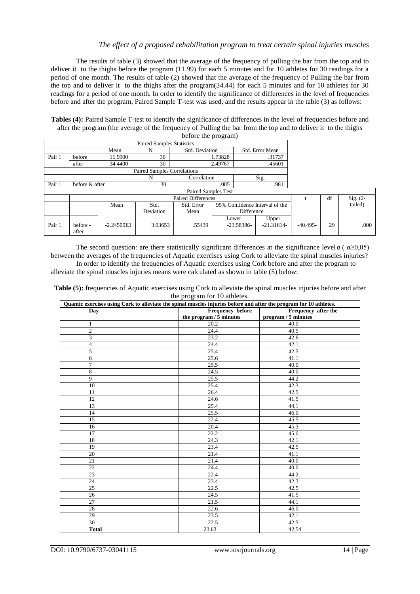The results of table (3) showed that the average of the frequency of pulling the bar from the top and to deliver it to the thighs before the program (11.99) for each 5 minutes and for 10 athletes for 30 readings for a period of one month. The results of table (2) showed that the average of the frequency of Pulling the bar from the top and to deliver it to the thighs after the program(34.44) for each 5 minutes and for 10 athletes for 30 readings for a period of one month. In order to identify the significance of differences in the level of frequencies before and after the program, Paired Sample T-test was used, and the results appear in the table (3) as follows:

**Tables (4):** Paired Sample T-test to identify the significance of differences in the level of frequencies before and after the program (the average of the frequency of Pulling the bar from the top and to deliver it to the thighs before the program)

| <b>Paired Samples Statistics</b> |                            |              |                                    |                                   |            |                                |              |            |    |            |
|----------------------------------|----------------------------|--------------|------------------------------------|-----------------------------------|------------|--------------------------------|--------------|------------|----|------------|
|                                  |                            | Mean         | N                                  | Std. Deviation<br>Std. Error Mean |            |                                |              |            |    |            |
| Pair 1                           | before                     | 11.9900      | 30                                 | 1.73828<br>.31737                 |            |                                |              |            |    |            |
|                                  | after                      | 34.4400      | 30                                 |                                   | 2.49767    |                                | .45601       |            |    |            |
|                                  |                            |              | <b>Paired Samples Correlations</b> |                                   |            |                                |              |            |    |            |
|                                  |                            |              | N                                  | Correlation                       |            |                                | Sig.         |            |    |            |
| Pair 1                           | before & after             |              | 30                                 | .005<br>.981                      |            |                                |              |            |    |            |
|                                  | <b>Paired Samples Test</b> |              |                                    |                                   |            |                                |              |            |    |            |
|                                  | <b>Paired Differences</b>  |              |                                    |                                   |            |                                |              |            | df | Sig. $(2-$ |
|                                  |                            | Mean         | Std.                               | Std. Error                        |            | 95% Confidence Interval of the |              |            |    | tailed)    |
|                                  |                            |              | Deviation                          | Mean                              | Difference |                                |              |            |    |            |
|                                  |                            |              |                                    |                                   | Lower      |                                | Upper        |            |    |            |
| Pair 1                           | before -<br>after          | $-2.24500E1$ | 3.03653                            | .55439                            |            | $-23.58386-$                   | $-21.31614-$ | $-40.495-$ | 29 | .000       |

The second question: are there statistically significant differences at the significance level  $\alpha$  ( $\alpha \ge 0.05$ ) between the averages of the frequencies of Aquatic exercises using Cork to alleviate the spinal muscles injuries? In order to identify the frequencies of Aquatic exercises using Cork before and after the program to

alleviate the spinal muscles injuries means were calculated as shown in table (5) below:

| Table (5): frequencies of Aquatic exercises using Cork to alleviate the spinal muscles injuries before and after |
|------------------------------------------------------------------------------------------------------------------|
| the program for 10 athletes.                                                                                     |

| Quantic exercises using Cork to alleviate the spinal muscles injuries before and after the program for 10 athletes. |                                         |                     |  |  |  |  |  |
|---------------------------------------------------------------------------------------------------------------------|-----------------------------------------|---------------------|--|--|--|--|--|
| Day                                                                                                                 | Frequency before<br>Frequency after the |                     |  |  |  |  |  |
|                                                                                                                     | the program / 5 minutes                 | program / 5 minutes |  |  |  |  |  |
| 1                                                                                                                   | 20.2                                    | 40.0                |  |  |  |  |  |
| $\mathfrak{2}$                                                                                                      | 24.4                                    | 40.5                |  |  |  |  |  |
| 3                                                                                                                   | 23.2                                    | 42.6                |  |  |  |  |  |
| $\overline{4}$                                                                                                      | 24.4                                    | 42.1                |  |  |  |  |  |
| 5                                                                                                                   | 25.4                                    | 42.5                |  |  |  |  |  |
| 6                                                                                                                   | 25.6                                    | 41.1                |  |  |  |  |  |
| 7                                                                                                                   | 25.5                                    | 40.0                |  |  |  |  |  |
| 8                                                                                                                   | 24.5                                    | 40.0                |  |  |  |  |  |
| 9                                                                                                                   | 25.5                                    | 44.2                |  |  |  |  |  |
| 10                                                                                                                  | 25.4                                    | 42.3                |  |  |  |  |  |
| 11                                                                                                                  | 26.4                                    | 42.5                |  |  |  |  |  |
| 12                                                                                                                  | 24.6                                    | 41.5                |  |  |  |  |  |
| 13                                                                                                                  | 25.4                                    | 44.1                |  |  |  |  |  |
| 14                                                                                                                  | 25.5                                    | 46.0                |  |  |  |  |  |
| 15                                                                                                                  | 22.4                                    | 45.5                |  |  |  |  |  |
| 16                                                                                                                  | 20.4                                    | 45.3                |  |  |  |  |  |
| 17                                                                                                                  | 22.2                                    | 45.0                |  |  |  |  |  |
| 18                                                                                                                  | 24.3                                    | 42.1                |  |  |  |  |  |
| 19                                                                                                                  | 23.4                                    | 42.5                |  |  |  |  |  |
| 20                                                                                                                  | 21.4                                    | 41.1                |  |  |  |  |  |
| 21                                                                                                                  | 21.4                                    | 40.0                |  |  |  |  |  |
| 22                                                                                                                  | 24.4                                    | 40.0                |  |  |  |  |  |
| $23\,$                                                                                                              | 22.4                                    | 44.2                |  |  |  |  |  |
| 24                                                                                                                  | 23.4                                    | 42.3                |  |  |  |  |  |
| 25                                                                                                                  | 22.5                                    | 42.5                |  |  |  |  |  |
| 26                                                                                                                  | 24.5                                    | 41.5                |  |  |  |  |  |
| 27                                                                                                                  | 21.5                                    | 44.1                |  |  |  |  |  |
| 28                                                                                                                  | 22.6                                    | 46.0                |  |  |  |  |  |
| 29                                                                                                                  | 23.5                                    | 42.1                |  |  |  |  |  |
| 30                                                                                                                  | 22.5                                    | 42.5                |  |  |  |  |  |
| <b>Total</b>                                                                                                        | 23.63                                   | 42.54               |  |  |  |  |  |